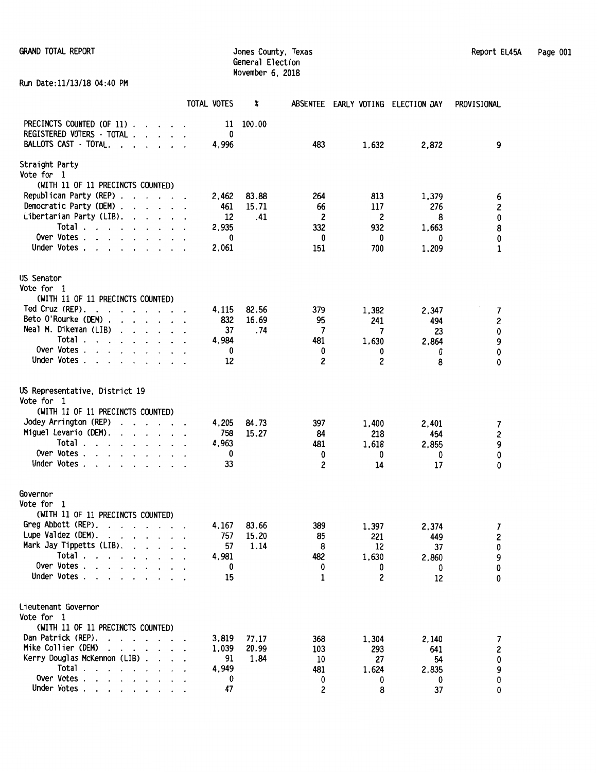Run Date:11/13/18 04:40 PM

|                                                                                                      | TOTAL VOTES    | x              |            | ABSENTEE EARLY VOTING ELECTION DAY |           | PROVISIONAL                           |
|------------------------------------------------------------------------------------------------------|----------------|----------------|------------|------------------------------------|-----------|---------------------------------------|
| PRECINCTS COUNTED (OF 11).<br>$\cdots$                                                               | 11             | 100.00         |            |                                    |           |                                       |
| REGISTERED VOTERS - TOTAL .<br>$\cdot$ $\cdot$ $\cdot$ $\cdot$                                       | 0              |                |            |                                    |           |                                       |
| <b>BALLOTS CAST - TOTAL.</b><br>$\cdot$ $\cdot$ $\cdot$ $\cdot$<br>$\ddot{\phantom{0}}$              | 4,996          |                | 483        | 1,632                              | 2,872     | 9                                     |
| Straight Party                                                                                       |                |                |            |                                    |           |                                       |
| Vote for 1                                                                                           |                |                |            |                                    |           |                                       |
| (WITH 11 OF 11 PRECINCTS COUNTED)                                                                    |                |                |            |                                    |           |                                       |
| Republican Party (REP)                                                                               | 2,462          | 83.88          | 264        | 813                                | 1,379     | 6                                     |
| Democratic Party (DEM).<br>$\cdots$                                                                  | 461            | 15.71          | 66         | 117                                | 276       | 2                                     |
| Libertarian Party (LIB).<br>$\mathbf{r}$                                                             | 12             | .41            | 2          | 2                                  | 8         | 0                                     |
| Total.<br>$\mathbf{r}$ , $\mathbf{r}$ , $\mathbf{r}$ , $\mathbf{r}$ , $\mathbf{r}$<br>$\overline{a}$ | 2,935          |                | 332        | 932                                | 1,663     | 8                                     |
| Over Votes                                                                                           | 0              |                | 0          | 0                                  | 0         | 0                                     |
| Under Votes.<br>$\ddot{\phantom{0}}$<br>$\ddot{\phantom{1}}$                                         | 2,061          |                | 151        | 700                                | 1,209     | $\mathbf{1}$                          |
| US Senator                                                                                           |                |                |            |                                    |           |                                       |
| Vote for 1                                                                                           |                |                |            |                                    |           |                                       |
| (WITH 11 OF 11 PRECINCTS COUNTED)                                                                    |                |                |            |                                    |           |                                       |
| Ted Cruz (REP).<br>$\cdot$ $\cdot$ $\cdot$ $\cdot$ $\cdot$<br>$\cdot$ $\cdot$                        | 4,115          | 82.56          | 379        | 1,382                              | 2,347     | $\overline{7}$                        |
| Beto O'Rourke (DEM).<br>$\cdot$ $\cdot$ $\cdot$ $\cdot$<br>$\ddot{\phantom{a}}$                      | 832            | 16.69          | 95         | 241                                | 494       | $\boldsymbol{2}$                      |
| Neal M. Dikeman (LIB)<br>$\cdot$ $\cdot$ $\cdot$ $\cdot$ $\cdot$ $\cdot$ $\cdot$                     | 37             | . 74           | 7          | 7                                  | 23        | $\pmb{0}$                             |
| Total                                                                                                | 4,984          |                | 481        | 1,630                              | 2,864     | 9                                     |
| Over Votes.<br>$\cdot$ $\cdot$ $\cdot$ $\cdot$                                                       | 0              |                | 0          | 0                                  | 0         | 0                                     |
| Under Votes<br>$\cdot$ $\cdot$<br>$\ddotsc$                                                          | 12             |                | 2          | 2                                  | 8         | 0                                     |
| US Representative, District 19                                                                       |                |                |            |                                    |           |                                       |
| Vote for 1                                                                                           |                |                |            |                                    |           |                                       |
| (WITH 11 OF 11 PRECINCTS COUNTED)                                                                    |                |                |            |                                    |           |                                       |
| Jodey Arrington (REP)<br>$\cdot$ $\cdot$ $\cdot$ $\cdot$ $\cdot$ $\cdot$ $\cdot$                     | 4,205          | 84.73          | 397        | 1,400                              | 2,401     | 7                                     |
| Miguel Levario (DEM).<br>$\cdot$ $\cdot$ $\cdot$ $\cdot$ $\cdot$ $\cdot$ $\cdot$                     | 758            | 15.27          | 84         | 218                                | 454       | $\pmb{2}$                             |
| Total .<br>$\cdots$                                                                                  | 4,963          |                | 481        | 1,618                              | 2,855     | 9                                     |
| Over Votes                                                                                           | 0              |                | 0          | 0                                  | 0         | 0                                     |
| Under Votes .<br>$\cdot$<br>$\cdot$                                                                  | 33             |                | 2          | 14                                 | 17        | 0                                     |
|                                                                                                      |                |                |            |                                    |           |                                       |
| Governor<br>Vote for 1                                                                               |                |                |            |                                    |           |                                       |
| (WITH 11 OF 11 PRECINCTS COUNTED)                                                                    |                |                |            |                                    |           |                                       |
| Greg Abbott (REP).                                                                                   | 4,167          | 83.66          | 389        | 1,397                              | 2,374     | 7                                     |
| Lupe Valdez (DEM).                                                                                   | 757            | 15.20          | 85         | 221                                | 449       | 2                                     |
| Mark Jay Tippetts (LIB).                                                                             | 57             | 1.14           | 8          | 12                                 | 37        | $\pmb{0}$                             |
| Total $\ldots$ $\ldots$ $\ldots$ $\ldots$                                                            | 4,981          |                | 482        | 1,630                              | 2,860     | 9                                     |
| Over Votes                                                                                           | 0              |                | 0          | 0                                  | 0         | 0                                     |
| Under Votes                                                                                          | 15             |                | 1          | 2                                  | 12        | 0                                     |
|                                                                                                      |                |                |            |                                    |           |                                       |
| Lieutenant Governor                                                                                  |                |                |            |                                    |           |                                       |
| Vote for 1                                                                                           |                |                |            |                                    |           |                                       |
| (WITH 11 OF 11 PRECINCTS COUNTED)<br>Dan Patrick (REP).                                              |                |                |            |                                    |           |                                       |
| $\mathbf{r}$<br>Mike Collier (DEM)<br>$\cdot$ $\cdot$ $\cdot$ $\cdot$ $\cdot$ $\cdot$ $\cdot$        | 3.819<br>1.039 | 77.17<br>20.99 | 368<br>103 | 1,304                              | 2,140     | 7                                     |
| Kerry Douglas McKennon (LIB)                                                                         | 91             | 1.84           | 10         | 293<br>27                          | 641<br>54 | $\pmb{2}$                             |
| Total.<br>the contract of the contract of                                                            | 4.949          |                | 481        | 1,624                              | 2,835     | $\begin{array}{c} 0 \\ 9 \end{array}$ |
| Over Votes                                                                                           | 0              |                | 0          | 0                                  | 0         | $\pmb{0}$                             |
| Under Votes                                                                                          | 47             |                | 2          | 8                                  | 37        | 0                                     |
|                                                                                                      |                |                |            |                                    |           |                                       |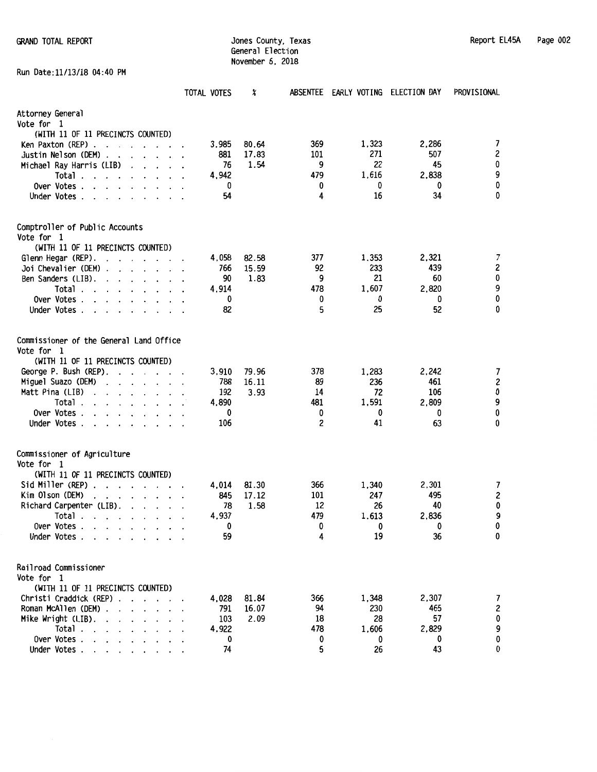Run Date:11/13/18 04:40 PM

General Election November 6, 2018

|                                                                                                         | TOTAL VOTES | X     | <b>ABSENTEE</b> | EARLY VOTING ELECTION DAY |              | PROVISIONAL      |
|---------------------------------------------------------------------------------------------------------|-------------|-------|-----------------|---------------------------|--------------|------------------|
| Attorney General<br>Vote for 1                                                                          |             |       |                 |                           |              |                  |
| (WITH 11 OF 11 PRECINCTS COUNTED)                                                                       |             |       |                 |                           |              |                  |
| Ken Paxton (REP).                                                                                       | 3,985       | 80.64 | 369             | 1,323                     | 2,286<br>507 | 7<br>2           |
| Justin Nelson (DEM)<br>$\cdot$<br>$\cdot$                                                               | 881         | 17.83 | 101             | 271                       |              |                  |
| Michael Ray Harris (LIB)                                                                                | 76          | 1.54  | 9               | 22                        | 45           | 0                |
| Total.<br>$\cdot$ $\cdot$<br>$\overline{\phantom{a}}$                                                   | 4,942       |       | 479             | 1,616                     | 2,838        | 9                |
| Over Votes .<br>$\cdot$<br>$\ddot{\phantom{0}}$                                                         | 0           |       | 0               | 0                         | 0            | $\pmb{0}$        |
| Under Votes.<br>$\cdot$<br>$\cdot$<br>$\cdot$                                                           | 54          |       | 4               | 16                        | 34           | 0                |
| Comptroller of Public Accounts<br>Vote for 1                                                            |             |       |                 |                           |              |                  |
| (WITH 11 OF 11 PRECINCTS COUNTED)                                                                       |             |       |                 |                           |              |                  |
| Glenn Hegar (REP).<br>$\mathbf{r}$ , $\mathbf{r}$ , $\mathbf{r}$<br>$\overline{\phantom{a}}$<br>$\cdot$ | 4,058       | 82.58 | 377             | 1,353                     | 2,321        | 7                |
| Joi Chevalier (DEM).                                                                                    | 766         | 15.59 | 92              | 233                       | 439          | $\boldsymbol{2}$ |
| Ben Sanders (LIB).<br>$\cdot$<br>$\cdot$<br>$\cdot$                                                     | 90          | 1.83  | 9               | 21                        | 60           | 0                |
| Total.<br>$\overline{\phantom{a}}$<br>$\cdot$<br>$\cdot$ $\cdot$ $\cdot$                                | 4,914       |       | 478             | 1,607                     | 2,820        | 9                |
| Over Votes.                                                                                             | 0           |       | 0               | 0                         | 0            | 0                |
| Under Votes.<br>$\cdot$<br>$\ddot{\phantom{a}}$                                                         | 82          |       | 5               | 25                        | 52           | 0                |
| Commissioner of the General Land Office<br>Vote for 1<br>(WITH 11 OF 11 PRECINCTS COUNTED)              |             |       |                 |                           |              |                  |
| George P. Bush (REP).<br>$\mathbf{r}$ , $\mathbf{r}$ , $\mathbf{r}$                                     | 3,910       | 79.96 | 378             | 1,283                     | 2,242        | 7                |
| Miguel Suazo (DEM)                                                                                      | 788         | 16.11 | 89              | 236                       | 461          | 2                |
| Matt Pina (LIB)                                                                                         | 192         | 3.93  | 14              | 72                        | 106          | 0                |
| Total.                                                                                                  | 4,890       |       | 481             | 1,591                     | 2,809        | 9                |
| Over Votes.                                                                                             | 0           |       | 0               | 0                         | 0            | 0                |
| Under Votes.<br>$\ddot{\phantom{a}}$                                                                    | 106         |       | 2               | 41                        | 63           | 0                |
| Commissioner of Agriculture<br>Vote for 1                                                               |             |       |                 |                           |              |                  |
| (WITH 11 OF 11 PRECINCTS COUNTED)                                                                       |             |       |                 |                           |              |                  |
| Sid Miller (REP).<br>$\cdot$ $\cdot$ $\cdot$ $\cdot$ $\cdot$ $\cdot$                                    | 4.014       | 81.30 | 366             | 1,340                     | 2,301        | 7                |
| Kim Olson (DEM)<br>$\cdot$ $\cdot$ $\cdot$ $\cdot$ $\cdot$                                              | 845         | 17.12 | 101             | 247                       | 495          | $\mathsf z$      |
| Richard Carpenter (LIB).<br>$\ddot{\phantom{0}}$<br>$\cdot$                                             | 78          | 1.58  | 12              | 26                        | 40           | 0                |
| Total.<br>$\sim$ $\sim$ $\sim$ $\sim$                                                                   | 4,937       |       | 479             | 1,613                     | 2,836        | 9                |
| Over Votes .<br>$\sim$ $\sim$ $\sim$ $\sim$                                                             | 0           |       | 0               | 0                         | 0            | 0                |
| Under Votes .<br>$\mathbf{r}$ and $\mathbf{r}$ and $\mathbf{r}$                                         | 59          |       | 4               | 19                        | 36           | 0                |
| Railroad Commissioner<br>Vote for 1<br>(WITH 11 OF 11 PRECINCTS COUNTED)                                |             |       |                 |                           |              |                  |
| Christi Craddick (REP)                                                                                  | 4,028       | 81.84 | 366             | 1,348                     | 2,307        | 7                |
| Roman McAllen (DEM).<br>$\sim$                                                                          | 791         | 16.07 | 94              | 230                       | 465          | 2                |
| Mike Wright (LIB).<br><b>Service Control</b>                                                            | 103         | 2.09  | 18              | 28                        | 57           | $\pmb{0}$        |
| Total .<br>the contract of the contract<br>$\ddot{\phantom{a}}$                                         | 4,922       |       | 478             | 1,606                     | 2,829        | 9                |
| Over Votes .<br>$\sim$ $\sim$                                                                           | 0           |       | 0               | 0                         | 0            | 0                |
| Under Votes.<br>$\cdot$ $\cdot$ $\cdot$ $\cdot$                                                         | 74          |       | 5               | 26                        | 43           | 0                |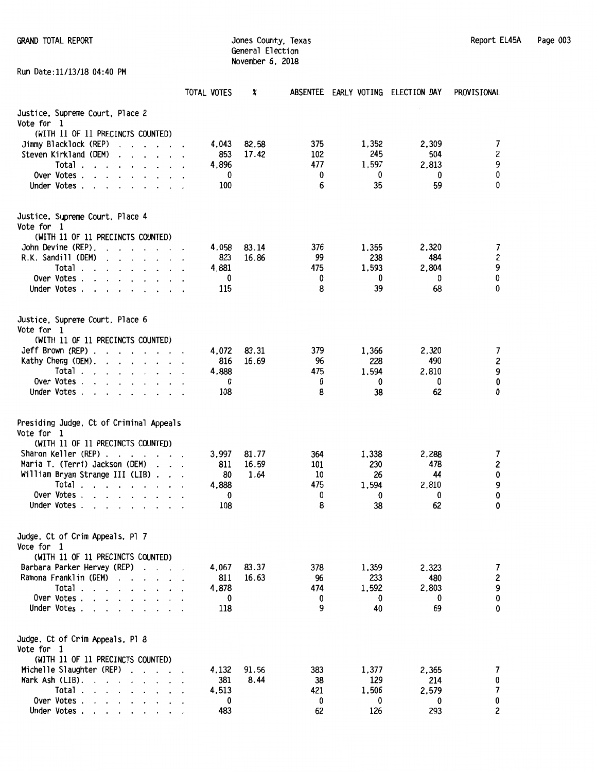Run Date:11/13/18 04:40 PM

General Election November 6. 2018

|                                                                                                                                                                                                                                                                                 | TOTAL VOTES  | X     |           | ABSENTEE EARLY VOTING ELECTION DAY |              | PROVISIONAL         |
|---------------------------------------------------------------------------------------------------------------------------------------------------------------------------------------------------------------------------------------------------------------------------------|--------------|-------|-----------|------------------------------------|--------------|---------------------|
| Justice, Supreme Court, Place 2<br>Vote for 1                                                                                                                                                                                                                                   |              |       |           |                                    |              |                     |
| (WITH 11 OF 11 PRECINCTS COUNTED)                                                                                                                                                                                                                                               |              |       |           |                                    |              |                     |
| Jimmy Blacklock (REP)                                                                                                                                                                                                                                                           | 4,043        | 82.58 | 375       | 1,352                              | 2,309        | $\overline{7}$      |
| Steven Kirkland (DEM)<br>$\mathbf{1}$ $\mathbf{1}$ $\mathbf{1}$ $\mathbf{1}$                                                                                                                                                                                                    | 853          | 17.42 | 102       | 245                                | 504          | $\boldsymbol{2}$    |
| Total<br>$\cdot$ $\cdot$ $\cdot$ $\cdot$                                                                                                                                                                                                                                        | 4.896        |       | 477       | 1,597                              | 2,813        |                     |
| Over Votes .<br>$\cdot$ $\cdot$ $\cdot$ $\cdot$ $\cdot$                                                                                                                                                                                                                         | 0            |       | 0         | 0                                  | 0            | 9<br>0              |
| Under Votes                                                                                                                                                                                                                                                                     | 100          |       | 6         | 35                                 | 59           | 0                   |
| Justice, Supreme Court, Place 4                                                                                                                                                                                                                                                 |              |       |           |                                    |              |                     |
| Vote for 1                                                                                                                                                                                                                                                                      |              |       |           |                                    |              |                     |
| (WITH 11 OF 11 PRECINCTS COUNTED)                                                                                                                                                                                                                                               |              |       |           |                                    |              |                     |
| John Devine (REP).<br>$\ddot{\phantom{a}}$<br>$\mathbf{r}$ . The contract of the contract of the contract of the contract of the contract of the contract of the contract of the contract of the contract of the contract of the contract of the contract of the contract of th | 4.058        | 83.14 | 376       | 1,355                              | 2,320        | 7                   |
| R.K. Sandill (DEM)<br>$\mathbf{r}$ , $\mathbf{r}$ , $\mathbf{r}$ , $\mathbf{r}$ , $\mathbf{r}$<br>$\ddot{\phantom{a}}$                                                                                                                                                          | 823          | 16.86 | 99        | 238                                | 484          | 2<br>9              |
| Total.<br>$\sim$<br>$\cdot$ $\cdot$ $\cdot$ $\cdot$ $\cdot$                                                                                                                                                                                                                     | 4,881        |       | 475       | 1,593                              | 2,804        |                     |
| Over Votes<br>$\cdot$ $\cdot$ $\cdot$ $\cdot$                                                                                                                                                                                                                                   | 0            |       | 0         | 0                                  | 0            | 0                   |
| Under Votes.                                                                                                                                                                                                                                                                    | 115          |       | 8         | 39                                 | 68           | 0                   |
| Justice, Supreme Court, Place 6<br>Vote for 1                                                                                                                                                                                                                                   |              |       |           |                                    |              |                     |
| (WITH 11 OF 11 PRECINCTS COUNTED)                                                                                                                                                                                                                                               |              |       |           |                                    |              |                     |
| Jeff Brown (REP).<br>and the contract of the contract of the contract of the contract of the contract of the contract of the contract of the contract of the contract of the contract of the contract of the contract of the contract of the contra                             | 4,072        | 83.31 | 379       | 1,366                              | 2,320        | 7<br>2<br>9         |
| Kathy Cheng (DEM).<br>$\mathbf{r}$ , $\mathbf{r}$ , $\mathbf{r}$ , $\mathbf{r}$ , $\mathbf{r}$ , $\mathbf{r}$                                                                                                                                                                   | 816          | 16.69 | 96        | 228                                | 490          |                     |
| Total                                                                                                                                                                                                                                                                           | 4,888        |       | 475       | 1.594                              | 2,810        |                     |
| Over Votes                                                                                                                                                                                                                                                                      | 0            |       | 0         | 0                                  | 0            | 0                   |
| Under Votes<br>$\cdot$                                                                                                                                                                                                                                                          | 108          |       | 8         | 38                                 | 62           | 0                   |
| Presiding Judge, Ct of Criminal Appeals<br>Vote for 1                                                                                                                                                                                                                           |              |       |           |                                    |              |                     |
| (WITH 11 OF 11 PRECINCTS COUNTED)                                                                                                                                                                                                                                               |              |       |           |                                    |              |                     |
| Sharon Keller (REP).<br>$\overline{\phantom{a}}$<br>.                                                                                                                                                                                                                           | 3,997        | 81.77 | 364       | 1,338                              | 2,288        | 7                   |
| Maria T. (Terri) Jackson (DEM)<br>$\ddot{\phantom{0}}$<br>$\sim$ $\sim$                                                                                                                                                                                                         | 811          | 16.59 | 101       | 230                                | 478          | $\boldsymbol{2}$    |
| William Bryan Strange III (LIB).                                                                                                                                                                                                                                                | 80           | 1.64  | 10        | 26                                 | 44           | 0<br>9              |
| Total $\cdots$                                                                                                                                                                                                                                                                  | 4,888        |       | 475       | 1,594                              | 2,810        |                     |
| Over Votes                                                                                                                                                                                                                                                                      | 0            |       | 0         | 0                                  | 0            | 0                   |
| Under Votes.                                                                                                                                                                                                                                                                    | 108          |       | 8         | 38                                 | 62           | 0                   |
| Judge, Ct of Crim Appeals, Pl 7<br>Vote for 1                                                                                                                                                                                                                                   |              |       |           |                                    |              |                     |
| (WITH 11 OF 11 PRECINCTS COUNTED)                                                                                                                                                                                                                                               |              |       |           |                                    |              |                     |
| Barbara Parker Hervey (REP)                                                                                                                                                                                                                                                     | 4,067        | 83.37 | 378       | 1,359                              | 2,323        | $\overline{7}$      |
| Ramona Franklin (DEM)<br>$\cdot$ $\cdot$ $\cdot$ $\cdot$ $\cdot$ $\cdot$                                                                                                                                                                                                        | 811          | 16.63 | 96        | 233                                | 480          | $\mathbf{2}$        |
| Total                                                                                                                                                                                                                                                                           | 4,878        |       | 474       | 1,592                              | 2,803        | 9                   |
| Over Votes $\ldots$ .                                                                                                                                                                                                                                                           | 0            |       | 0         | 0                                  | 0            | 0                   |
| Under Votes.<br>$\sim$ $\sim$ $\sim$                                                                                                                                                                                                                                            | 118          |       | 9         | 40                                 | 69           | 0                   |
| Judge, Ct of Crim Appeals, Pl 8<br>Vote for 1                                                                                                                                                                                                                                   |              |       |           |                                    |              |                     |
| (WITH 11 OF 11 PRECINCTS COUNTED)                                                                                                                                                                                                                                               |              |       |           |                                    |              |                     |
| Michelle Slaughter (REP)                                                                                                                                                                                                                                                        | 4,132        | 91.56 | 383       | 1,377                              | 2,365        | 7                   |
| Mark Ash (LIB).<br>$\cdot$ $\cdot$ $\cdot$ $\cdot$ $\cdot$ $\cdot$ $\cdot$ $\cdot$<br>Total.                                                                                                                                                                                    | 381<br>4,513 | 8.44  | 38<br>421 | 129<br>1,506                       | 214<br>2,579 | 0<br>$\overline{7}$ |
| $\mathbf{r}$ . The set of the set of the set of the set of the set of the set of the set of the set of the set of the set of the set of the set of the set of the set of the set of the set of the set of the set of the set of t                                               |              |       |           |                                    |              |                     |

Over Votes . 0 0 0 0 0 Under Votes . . . . . . . . 483 62 126 293 2